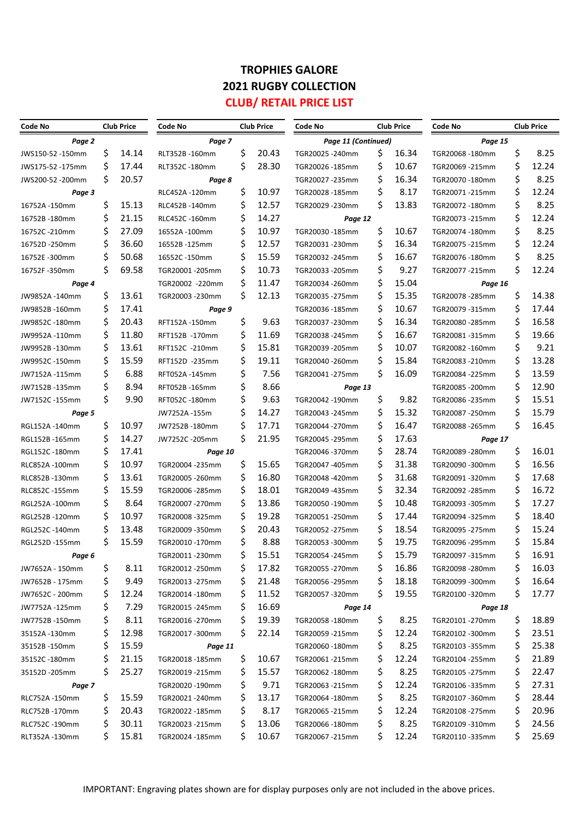## **TROPHIES GALORE 2021 RUGBY COLLECTION CLUB/ RETAIL PRICE LIST**

| Page 11 (Continued)<br>Page 15<br>Page 2<br>Page 7<br>\$<br>\$<br>\$<br>14.14<br>20.43<br>\$<br>16.34<br>8.25<br>RLT352B-160mm<br>JWS150-52 -150mm<br>TGR20025 - 240mm<br>TGR20068-180mm<br>\$<br>\$<br>17.44<br>\$<br>28.30<br>10.67<br>\$<br>12.24<br>JWS175-52 -175mm<br>RLT352C-180mm<br>TGR20026-185mm<br>TGR20069 -215mm<br>\$<br>\$<br>\$<br>20.57<br>16.34<br>8.25<br>JWS200-52 -200mm<br>TGR20027 - 235mm<br>TGR20070-180mm<br>Page 8<br>\$<br>\$<br>\$<br>10.97<br>8.17<br>12.24<br>RLC452A-120mm<br>TGR20028-185mm<br>TGR20071-215mm<br>Page 3<br>\$<br>\$<br>\$<br>\$<br>15.13<br>12.57<br>13.83<br>8.25<br>16752A-150mm<br>TGR20029-230mm<br>RLC452B-140mm<br>TGR20072 -180mm<br>\$<br>\$<br>\$<br>21.15<br>14.27<br>12.24<br>16752B-180mm<br>RLC452C-160mm<br>TGR20073 -215mm<br>Page 12<br>\$<br>\$<br>\$<br>8.25<br>27.09<br>10.97<br>\$<br>10.67<br>16752C-210mm<br>16552A-100mm<br>TGR20030-185mm<br>TGR20074-180mm<br>\$<br>\$<br>\$<br>\$<br>36.60<br>12.57<br>16.34<br>12.24<br>16752D-250mm<br>16552B-125mm<br>TGR20031-230mm<br>TGR20075-215mm<br>\$<br>\$<br>\$<br>\$<br>50.68<br>15.59<br>16.67<br>8.25<br>16752E-300mm<br>16552C-150mm<br>TGR20032 - 245mm<br>TGR20076-180mm<br>\$<br>\$<br>\$<br>\$<br>69.58<br>10.73<br>9.27<br>12.24<br>16752F-350mm<br>TGR20001-205mm<br>TGR20033 - 205mm<br>TGR20077-215mm<br>\$<br>\$<br>11.47<br>15.04<br>TGR20002 -220mm<br>TGR20034 - 260mm<br>Page 4<br>Page 16<br>\$<br>\$<br>\$<br>\$<br>13.61<br>12.13<br>15.35<br>14.38<br>JW9852A-140mm<br>TGR20003 -230mm<br>TGR20035 - 275mm<br>TGR20078-285mm<br>\$<br>\$<br>\$<br>17.41<br>10.67<br>17.44<br>TGR20036-185mm<br>TGR20079-315mm<br>JW9852B-160mm<br>Page 9<br>\$<br>\$<br>\$<br>\$<br>20.43<br>9.63<br>16.34<br>16.58<br>JW9852C-180mm<br>RFT152A-150mm<br>TGR20037 - 230mm<br>TGR20080-285mm<br>\$<br>\$<br>\$<br>\$<br>11.80<br>16.67<br>19.66<br>11.69<br>RFT152B -170mm<br>TGR20038-245mm<br>TGR20081-315mm<br>JW9952A-110mm<br>\$<br>\$<br>\$<br>\$<br>13.61<br>15.81<br>10.07<br>9.21<br>JW9952B-130mm<br>RFT152C -210mm<br>TGR20039 - 205mm<br>TGR20082 -160mm<br>\$<br>\$<br>\$<br>\$<br>15.59<br>19.11<br>15.84<br>13.28<br>JW9952C-150mm<br>RFT152D -235mm<br>TGR20040 -260mm<br>TGR20083 -210mm<br>\$<br>\$<br>\$<br>\$<br>6.88<br>7.56<br>16.09<br>13.59<br>RFT052A-145mm<br>TGR20041-275mm<br>TGR20084 -225mm<br>JW7152A-115mm<br>\$<br>\$<br>\$<br>8.94<br>8.66<br>12.90<br>JW7152B-135mm<br>RFT052B-165mm<br>TGR20085-200mm<br>Page 13<br>\$<br>\$<br>\$<br>\$<br>9.90<br>9.63<br>9.82<br>15.51<br>JW7152C-155mm<br>RFT052C-180mm<br>TGR20042 -190mm<br>TGR20086-235mm<br>\$<br>\$<br>\$<br>15.79<br>15.32<br>14.27<br>JW7252A-155m<br>TGR20043 -245mm<br>TGR20087-250mm<br>Page 5<br>\$<br>\$<br>\$<br>\$<br>10.97<br>17.71<br>16.47<br>16.45<br>RGL152A-140mm<br>JW7252B-180mm<br>TGR20044 -270mm<br>TGR20088-265mm<br>\$<br>\$<br>\$<br>14.27<br>17.63<br>21.95<br>RGL152B-165mm<br>JW7252C-205mm<br>TGR20045 -295mm<br>Page 17<br>\$<br>\$<br>\$<br>28.74<br>16.01<br>17.41<br>RGL152C-180mm<br>TGR20046 -370mm<br>TGR20089 - 280mm<br>Page 10<br>\$<br>\$<br>\$<br>10.97<br>\$<br>16.56<br>15.65<br>31.38<br>RLC852A-100mm<br>TGR20004 -235mm<br>TGR20047-405mm<br>TGR20090-300mm<br>\$<br>\$<br>\$<br>\$<br>13.61<br>16.80<br>31.68<br>17.68<br>RLC852B-130mm<br>TGR20005 - 260mm<br>TGR20048-420mm<br>TGR20091-320mm<br>\$<br>\$<br>\$<br>\$<br>15.59<br>18.01<br>32.34<br>16.72<br>TGR20006 -285mm<br>TGR20049 -435mm<br>TGR20092 -285mm<br>RLC852C -155mm<br>\$<br>\$<br>\$<br>\$<br>8.64<br>13.86<br>10.48<br>17.27<br>RGL252A-100mm<br>TGR20007 -270mm<br>TGR20050-190mm<br>TGR20093 -305mm<br>\$<br>\$<br>\$<br>\$<br>10.97<br>19.28<br>18.40<br>17.44<br>RGL252B-120mm<br>TGR20008 -325mm<br>TGR20051-250mm<br>TGR20094 -325mm<br>\$<br>\$<br>\$<br>\$<br>13.48<br>20.43<br>18.54<br>15.24<br>RGL252C-140mm<br>TGR20009 -350mm<br>TGR20052 - 275mm<br>TGR20095 -275mm<br>\$<br>\$<br>\$<br>\$<br>8.88<br>15.84<br>15.59<br>19.75<br>RGL252D-155mm<br>TGR20010-170mm<br>TGR20053 -300mm<br>TGR20096-295mm<br>\$<br>15.51<br>\$<br>15.79<br>\$<br>16.91<br>TGR20011-230mm<br>TGR20054 -245mm<br>TGR20097-315mm<br>Page 6<br>\$<br>Ş<br>Ş<br>Ş<br>16.03<br>8.11<br>17.82<br>16.86<br>JW7652A - 150mm<br>TGR20012 -250mm<br>TGR20055 -270mm<br>TGR20098 -280mm<br>\$<br>9.49<br>Ş<br>Ş<br>18.18<br>\$<br>16.64<br>21.48<br>JW7652B - 175mm<br>TGR20013 -275mm<br>TGR20056-295mm<br>TGR20099-300mm<br>\$<br>\$<br>\$<br>\$<br>19.55<br>12.24<br>11.52<br>17.77<br>JW7652C - 200mm<br>TGR20014 -180mm<br>TGR20057-320mm<br>TGR20100 -320mm<br>\$<br>\$<br>16.69<br>7.29<br>JW7752A-125mm<br>TGR20015 - 245mm<br>Page 14<br>Page 18<br>\$<br>\$<br>\$<br>8.11<br>19.39<br>8.25<br>Ş<br>18.89<br>TGR20058-180mm<br>TGR20101-270mm<br>JW7752B-150mm<br>TGR20016 -270mm<br>\$<br>12.98<br>\$.<br>\$<br>Ş<br>23.51<br>22.14<br>12.24<br>TGR20059-215mm<br>35152A -130mm<br>TGR20017 -300mm<br>TGR20102 -300mm<br>Ş<br>15.59<br>Ş<br>8.25<br>Ş<br>25.38<br>35152B-150mm<br>Page 11<br>TGR20060-180mm<br>TGR20103 -355mm<br>\$<br>\$<br>10.67<br>\$<br>\$<br>21.89<br>21.15<br>12.24<br>35152C-180mm<br>TGR20018 -185mm<br>TGR20061-215mm<br>TGR20104 -255mm<br>\$<br>\$<br>\$<br>25.27<br>Ş<br>15.57<br>8.25<br>22.47<br>TGR20062 -180mm<br>35152D -205mm<br>TGR20019 -215mm<br>TGR20105 -275mm<br>\$<br>\$<br>\$<br>9.71<br>12.24<br>27.31<br>TGR20020-190mm<br>TGR20063 -215mm<br>TGR20106 -335mm<br>Page 7<br>\$<br>Ş<br>13.17<br>Ş<br>28.44<br>Ş<br>15.59<br>8.25<br>TGR20021-240mm<br>TGR20064 -180mm<br>TGR20107 -360mm<br>RLC752A-150mm<br>\$<br>\$<br>\$<br>Ş<br>20.43<br>8.17<br>20.96<br>12.24<br>RLC752B-170mm<br>TGR20022 -185mm<br>TGR20065 -215mm<br>TGR20108 -275mm<br>\$<br>\$<br>\$<br>\$<br>13.06<br>8.25<br>24.56<br>30.11<br>RLC752C -190mm<br>TGR20023 -215mm<br>TGR20066 -180mm<br>TGR20109 -310mm<br>\$<br>\$<br>\$.<br>15.81<br>\$.<br>10.67<br>12.24<br>25.69<br>TGR20024 -185mm<br>TGR20067 -215mm<br>TGR20110-335mm<br>RLT352A -130mm | <b>Code No</b> | <b>Club Price</b> |  | Code No | <b>Club Price</b> | Code No<br><b>Club Price</b> |  |  | Code No<br><b>Club Price</b> |  |  |  |
|-------------------------------------------------------------------------------------------------------------------------------------------------------------------------------------------------------------------------------------------------------------------------------------------------------------------------------------------------------------------------------------------------------------------------------------------------------------------------------------------------------------------------------------------------------------------------------------------------------------------------------------------------------------------------------------------------------------------------------------------------------------------------------------------------------------------------------------------------------------------------------------------------------------------------------------------------------------------------------------------------------------------------------------------------------------------------------------------------------------------------------------------------------------------------------------------------------------------------------------------------------------------------------------------------------------------------------------------------------------------------------------------------------------------------------------------------------------------------------------------------------------------------------------------------------------------------------------------------------------------------------------------------------------------------------------------------------------------------------------------------------------------------------------------------------------------------------------------------------------------------------------------------------------------------------------------------------------------------------------------------------------------------------------------------------------------------------------------------------------------------------------------------------------------------------------------------------------------------------------------------------------------------------------------------------------------------------------------------------------------------------------------------------------------------------------------------------------------------------------------------------------------------------------------------------------------------------------------------------------------------------------------------------------------------------------------------------------------------------------------------------------------------------------------------------------------------------------------------------------------------------------------------------------------------------------------------------------------------------------------------------------------------------------------------------------------------------------------------------------------------------------------------------------------------------------------------------------------------------------------------------------------------------------------------------------------------------------------------------------------------------------------------------------------------------------------------------------------------------------------------------------------------------------------------------------------------------------------------------------------------------------------------------------------------------------------------------------------------------------------------------------------------------------------------------------------------------------------------------------------------------------------------------------------------------------------------------------------------------------------------------------------------------------------------------------------------------------------------------------------------------------------------------------------------------------------------------------------------------------------------------------------------------------------------------------------------------------------------------------------------------------------------------------------------------------------------------------------------------------------------------------------------------------------------------------------------------------------------------------------------------------------------------------------------------------------------------------------------------------------------------------------------------------------------------------------------------------------------------------------------------------------------------------------------------------------------------------------------------------------------------------------------------------------------------------------------------------------------------------------------------------------------------------------------------------------------------------------------------------------------------------------------------------------------------------------------------------------------------------------------------------------------------------------------------------------------------------------------------------------------------------------------------------------------------------------------------------------------------------------------------------------------------------------------------------------------------------------------------------------------------------------------------------------------------------------------------------------------------------------------------------------------------------------------------------------------------------------------------------------------------------|----------------|-------------------|--|---------|-------------------|------------------------------|--|--|------------------------------|--|--|--|
|                                                                                                                                                                                                                                                                                                                                                                                                                                                                                                                                                                                                                                                                                                                                                                                                                                                                                                                                                                                                                                                                                                                                                                                                                                                                                                                                                                                                                                                                                                                                                                                                                                                                                                                                                                                                                                                                                                                                                                                                                                                                                                                                                                                                                                                                                                                                                                                                                                                                                                                                                                                                                                                                                                                                                                                                                                                                                                                                                                                                                                                                                                                                                                                                                                                                                                                                                                                                                                                                                                                                                                                                                                                                                                                                                                                                                                                                                                                                                                                                                                                                                                                                                                                                                                                                                                                                                                                                                                                                                                                                                                                                                                                                                                                                                                                                                                                                                                                                                                                                                                                                                                                                                                                                                                                                                                                                                                                                                                                                                                                                                                                                                                                                                                                                                                                                                                                                                                                                                                                                             |                |                   |  |         |                   |                              |  |  |                              |  |  |  |
|                                                                                                                                                                                                                                                                                                                                                                                                                                                                                                                                                                                                                                                                                                                                                                                                                                                                                                                                                                                                                                                                                                                                                                                                                                                                                                                                                                                                                                                                                                                                                                                                                                                                                                                                                                                                                                                                                                                                                                                                                                                                                                                                                                                                                                                                                                                                                                                                                                                                                                                                                                                                                                                                                                                                                                                                                                                                                                                                                                                                                                                                                                                                                                                                                                                                                                                                                                                                                                                                                                                                                                                                                                                                                                                                                                                                                                                                                                                                                                                                                                                                                                                                                                                                                                                                                                                                                                                                                                                                                                                                                                                                                                                                                                                                                                                                                                                                                                                                                                                                                                                                                                                                                                                                                                                                                                                                                                                                                                                                                                                                                                                                                                                                                                                                                                                                                                                                                                                                                                                                             |                |                   |  |         |                   |                              |  |  |                              |  |  |  |
|                                                                                                                                                                                                                                                                                                                                                                                                                                                                                                                                                                                                                                                                                                                                                                                                                                                                                                                                                                                                                                                                                                                                                                                                                                                                                                                                                                                                                                                                                                                                                                                                                                                                                                                                                                                                                                                                                                                                                                                                                                                                                                                                                                                                                                                                                                                                                                                                                                                                                                                                                                                                                                                                                                                                                                                                                                                                                                                                                                                                                                                                                                                                                                                                                                                                                                                                                                                                                                                                                                                                                                                                                                                                                                                                                                                                                                                                                                                                                                                                                                                                                                                                                                                                                                                                                                                                                                                                                                                                                                                                                                                                                                                                                                                                                                                                                                                                                                                                                                                                                                                                                                                                                                                                                                                                                                                                                                                                                                                                                                                                                                                                                                                                                                                                                                                                                                                                                                                                                                                                             |                |                   |  |         |                   |                              |  |  |                              |  |  |  |
|                                                                                                                                                                                                                                                                                                                                                                                                                                                                                                                                                                                                                                                                                                                                                                                                                                                                                                                                                                                                                                                                                                                                                                                                                                                                                                                                                                                                                                                                                                                                                                                                                                                                                                                                                                                                                                                                                                                                                                                                                                                                                                                                                                                                                                                                                                                                                                                                                                                                                                                                                                                                                                                                                                                                                                                                                                                                                                                                                                                                                                                                                                                                                                                                                                                                                                                                                                                                                                                                                                                                                                                                                                                                                                                                                                                                                                                                                                                                                                                                                                                                                                                                                                                                                                                                                                                                                                                                                                                                                                                                                                                                                                                                                                                                                                                                                                                                                                                                                                                                                                                                                                                                                                                                                                                                                                                                                                                                                                                                                                                                                                                                                                                                                                                                                                                                                                                                                                                                                                                                             |                |                   |  |         |                   |                              |  |  |                              |  |  |  |
|                                                                                                                                                                                                                                                                                                                                                                                                                                                                                                                                                                                                                                                                                                                                                                                                                                                                                                                                                                                                                                                                                                                                                                                                                                                                                                                                                                                                                                                                                                                                                                                                                                                                                                                                                                                                                                                                                                                                                                                                                                                                                                                                                                                                                                                                                                                                                                                                                                                                                                                                                                                                                                                                                                                                                                                                                                                                                                                                                                                                                                                                                                                                                                                                                                                                                                                                                                                                                                                                                                                                                                                                                                                                                                                                                                                                                                                                                                                                                                                                                                                                                                                                                                                                                                                                                                                                                                                                                                                                                                                                                                                                                                                                                                                                                                                                                                                                                                                                                                                                                                                                                                                                                                                                                                                                                                                                                                                                                                                                                                                                                                                                                                                                                                                                                                                                                                                                                                                                                                                                             |                |                   |  |         |                   |                              |  |  |                              |  |  |  |
|                                                                                                                                                                                                                                                                                                                                                                                                                                                                                                                                                                                                                                                                                                                                                                                                                                                                                                                                                                                                                                                                                                                                                                                                                                                                                                                                                                                                                                                                                                                                                                                                                                                                                                                                                                                                                                                                                                                                                                                                                                                                                                                                                                                                                                                                                                                                                                                                                                                                                                                                                                                                                                                                                                                                                                                                                                                                                                                                                                                                                                                                                                                                                                                                                                                                                                                                                                                                                                                                                                                                                                                                                                                                                                                                                                                                                                                                                                                                                                                                                                                                                                                                                                                                                                                                                                                                                                                                                                                                                                                                                                                                                                                                                                                                                                                                                                                                                                                                                                                                                                                                                                                                                                                                                                                                                                                                                                                                                                                                                                                                                                                                                                                                                                                                                                                                                                                                                                                                                                                                             |                |                   |  |         |                   |                              |  |  |                              |  |  |  |
|                                                                                                                                                                                                                                                                                                                                                                                                                                                                                                                                                                                                                                                                                                                                                                                                                                                                                                                                                                                                                                                                                                                                                                                                                                                                                                                                                                                                                                                                                                                                                                                                                                                                                                                                                                                                                                                                                                                                                                                                                                                                                                                                                                                                                                                                                                                                                                                                                                                                                                                                                                                                                                                                                                                                                                                                                                                                                                                                                                                                                                                                                                                                                                                                                                                                                                                                                                                                                                                                                                                                                                                                                                                                                                                                                                                                                                                                                                                                                                                                                                                                                                                                                                                                                                                                                                                                                                                                                                                                                                                                                                                                                                                                                                                                                                                                                                                                                                                                                                                                                                                                                                                                                                                                                                                                                                                                                                                                                                                                                                                                                                                                                                                                                                                                                                                                                                                                                                                                                                                                             |                |                   |  |         |                   |                              |  |  |                              |  |  |  |
|                                                                                                                                                                                                                                                                                                                                                                                                                                                                                                                                                                                                                                                                                                                                                                                                                                                                                                                                                                                                                                                                                                                                                                                                                                                                                                                                                                                                                                                                                                                                                                                                                                                                                                                                                                                                                                                                                                                                                                                                                                                                                                                                                                                                                                                                                                                                                                                                                                                                                                                                                                                                                                                                                                                                                                                                                                                                                                                                                                                                                                                                                                                                                                                                                                                                                                                                                                                                                                                                                                                                                                                                                                                                                                                                                                                                                                                                                                                                                                                                                                                                                                                                                                                                                                                                                                                                                                                                                                                                                                                                                                                                                                                                                                                                                                                                                                                                                                                                                                                                                                                                                                                                                                                                                                                                                                                                                                                                                                                                                                                                                                                                                                                                                                                                                                                                                                                                                                                                                                                                             |                |                   |  |         |                   |                              |  |  |                              |  |  |  |
|                                                                                                                                                                                                                                                                                                                                                                                                                                                                                                                                                                                                                                                                                                                                                                                                                                                                                                                                                                                                                                                                                                                                                                                                                                                                                                                                                                                                                                                                                                                                                                                                                                                                                                                                                                                                                                                                                                                                                                                                                                                                                                                                                                                                                                                                                                                                                                                                                                                                                                                                                                                                                                                                                                                                                                                                                                                                                                                                                                                                                                                                                                                                                                                                                                                                                                                                                                                                                                                                                                                                                                                                                                                                                                                                                                                                                                                                                                                                                                                                                                                                                                                                                                                                                                                                                                                                                                                                                                                                                                                                                                                                                                                                                                                                                                                                                                                                                                                                                                                                                                                                                                                                                                                                                                                                                                                                                                                                                                                                                                                                                                                                                                                                                                                                                                                                                                                                                                                                                                                                             |                |                   |  |         |                   |                              |  |  |                              |  |  |  |
|                                                                                                                                                                                                                                                                                                                                                                                                                                                                                                                                                                                                                                                                                                                                                                                                                                                                                                                                                                                                                                                                                                                                                                                                                                                                                                                                                                                                                                                                                                                                                                                                                                                                                                                                                                                                                                                                                                                                                                                                                                                                                                                                                                                                                                                                                                                                                                                                                                                                                                                                                                                                                                                                                                                                                                                                                                                                                                                                                                                                                                                                                                                                                                                                                                                                                                                                                                                                                                                                                                                                                                                                                                                                                                                                                                                                                                                                                                                                                                                                                                                                                                                                                                                                                                                                                                                                                                                                                                                                                                                                                                                                                                                                                                                                                                                                                                                                                                                                                                                                                                                                                                                                                                                                                                                                                                                                                                                                                                                                                                                                                                                                                                                                                                                                                                                                                                                                                                                                                                                                             |                |                   |  |         |                   |                              |  |  |                              |  |  |  |
|                                                                                                                                                                                                                                                                                                                                                                                                                                                                                                                                                                                                                                                                                                                                                                                                                                                                                                                                                                                                                                                                                                                                                                                                                                                                                                                                                                                                                                                                                                                                                                                                                                                                                                                                                                                                                                                                                                                                                                                                                                                                                                                                                                                                                                                                                                                                                                                                                                                                                                                                                                                                                                                                                                                                                                                                                                                                                                                                                                                                                                                                                                                                                                                                                                                                                                                                                                                                                                                                                                                                                                                                                                                                                                                                                                                                                                                                                                                                                                                                                                                                                                                                                                                                                                                                                                                                                                                                                                                                                                                                                                                                                                                                                                                                                                                                                                                                                                                                                                                                                                                                                                                                                                                                                                                                                                                                                                                                                                                                                                                                                                                                                                                                                                                                                                                                                                                                                                                                                                                                             |                |                   |  |         |                   |                              |  |  |                              |  |  |  |
|                                                                                                                                                                                                                                                                                                                                                                                                                                                                                                                                                                                                                                                                                                                                                                                                                                                                                                                                                                                                                                                                                                                                                                                                                                                                                                                                                                                                                                                                                                                                                                                                                                                                                                                                                                                                                                                                                                                                                                                                                                                                                                                                                                                                                                                                                                                                                                                                                                                                                                                                                                                                                                                                                                                                                                                                                                                                                                                                                                                                                                                                                                                                                                                                                                                                                                                                                                                                                                                                                                                                                                                                                                                                                                                                                                                                                                                                                                                                                                                                                                                                                                                                                                                                                                                                                                                                                                                                                                                                                                                                                                                                                                                                                                                                                                                                                                                                                                                                                                                                                                                                                                                                                                                                                                                                                                                                                                                                                                                                                                                                                                                                                                                                                                                                                                                                                                                                                                                                                                                                             |                |                   |  |         |                   |                              |  |  |                              |  |  |  |
|                                                                                                                                                                                                                                                                                                                                                                                                                                                                                                                                                                                                                                                                                                                                                                                                                                                                                                                                                                                                                                                                                                                                                                                                                                                                                                                                                                                                                                                                                                                                                                                                                                                                                                                                                                                                                                                                                                                                                                                                                                                                                                                                                                                                                                                                                                                                                                                                                                                                                                                                                                                                                                                                                                                                                                                                                                                                                                                                                                                                                                                                                                                                                                                                                                                                                                                                                                                                                                                                                                                                                                                                                                                                                                                                                                                                                                                                                                                                                                                                                                                                                                                                                                                                                                                                                                                                                                                                                                                                                                                                                                                                                                                                                                                                                                                                                                                                                                                                                                                                                                                                                                                                                                                                                                                                                                                                                                                                                                                                                                                                                                                                                                                                                                                                                                                                                                                                                                                                                                                                             |                |                   |  |         |                   |                              |  |  |                              |  |  |  |
|                                                                                                                                                                                                                                                                                                                                                                                                                                                                                                                                                                                                                                                                                                                                                                                                                                                                                                                                                                                                                                                                                                                                                                                                                                                                                                                                                                                                                                                                                                                                                                                                                                                                                                                                                                                                                                                                                                                                                                                                                                                                                                                                                                                                                                                                                                                                                                                                                                                                                                                                                                                                                                                                                                                                                                                                                                                                                                                                                                                                                                                                                                                                                                                                                                                                                                                                                                                                                                                                                                                                                                                                                                                                                                                                                                                                                                                                                                                                                                                                                                                                                                                                                                                                                                                                                                                                                                                                                                                                                                                                                                                                                                                                                                                                                                                                                                                                                                                                                                                                                                                                                                                                                                                                                                                                                                                                                                                                                                                                                                                                                                                                                                                                                                                                                                                                                                                                                                                                                                                                             |                |                   |  |         |                   |                              |  |  |                              |  |  |  |
|                                                                                                                                                                                                                                                                                                                                                                                                                                                                                                                                                                                                                                                                                                                                                                                                                                                                                                                                                                                                                                                                                                                                                                                                                                                                                                                                                                                                                                                                                                                                                                                                                                                                                                                                                                                                                                                                                                                                                                                                                                                                                                                                                                                                                                                                                                                                                                                                                                                                                                                                                                                                                                                                                                                                                                                                                                                                                                                                                                                                                                                                                                                                                                                                                                                                                                                                                                                                                                                                                                                                                                                                                                                                                                                                                                                                                                                                                                                                                                                                                                                                                                                                                                                                                                                                                                                                                                                                                                                                                                                                                                                                                                                                                                                                                                                                                                                                                                                                                                                                                                                                                                                                                                                                                                                                                                                                                                                                                                                                                                                                                                                                                                                                                                                                                                                                                                                                                                                                                                                                             |                |                   |  |         |                   |                              |  |  |                              |  |  |  |
|                                                                                                                                                                                                                                                                                                                                                                                                                                                                                                                                                                                                                                                                                                                                                                                                                                                                                                                                                                                                                                                                                                                                                                                                                                                                                                                                                                                                                                                                                                                                                                                                                                                                                                                                                                                                                                                                                                                                                                                                                                                                                                                                                                                                                                                                                                                                                                                                                                                                                                                                                                                                                                                                                                                                                                                                                                                                                                                                                                                                                                                                                                                                                                                                                                                                                                                                                                                                                                                                                                                                                                                                                                                                                                                                                                                                                                                                                                                                                                                                                                                                                                                                                                                                                                                                                                                                                                                                                                                                                                                                                                                                                                                                                                                                                                                                                                                                                                                                                                                                                                                                                                                                                                                                                                                                                                                                                                                                                                                                                                                                                                                                                                                                                                                                                                                                                                                                                                                                                                                                             |                |                   |  |         |                   |                              |  |  |                              |  |  |  |
|                                                                                                                                                                                                                                                                                                                                                                                                                                                                                                                                                                                                                                                                                                                                                                                                                                                                                                                                                                                                                                                                                                                                                                                                                                                                                                                                                                                                                                                                                                                                                                                                                                                                                                                                                                                                                                                                                                                                                                                                                                                                                                                                                                                                                                                                                                                                                                                                                                                                                                                                                                                                                                                                                                                                                                                                                                                                                                                                                                                                                                                                                                                                                                                                                                                                                                                                                                                                                                                                                                                                                                                                                                                                                                                                                                                                                                                                                                                                                                                                                                                                                                                                                                                                                                                                                                                                                                                                                                                                                                                                                                                                                                                                                                                                                                                                                                                                                                                                                                                                                                                                                                                                                                                                                                                                                                                                                                                                                                                                                                                                                                                                                                                                                                                                                                                                                                                                                                                                                                                                             |                |                   |  |         |                   |                              |  |  |                              |  |  |  |
|                                                                                                                                                                                                                                                                                                                                                                                                                                                                                                                                                                                                                                                                                                                                                                                                                                                                                                                                                                                                                                                                                                                                                                                                                                                                                                                                                                                                                                                                                                                                                                                                                                                                                                                                                                                                                                                                                                                                                                                                                                                                                                                                                                                                                                                                                                                                                                                                                                                                                                                                                                                                                                                                                                                                                                                                                                                                                                                                                                                                                                                                                                                                                                                                                                                                                                                                                                                                                                                                                                                                                                                                                                                                                                                                                                                                                                                                                                                                                                                                                                                                                                                                                                                                                                                                                                                                                                                                                                                                                                                                                                                                                                                                                                                                                                                                                                                                                                                                                                                                                                                                                                                                                                                                                                                                                                                                                                                                                                                                                                                                                                                                                                                                                                                                                                                                                                                                                                                                                                                                             |                |                   |  |         |                   |                              |  |  |                              |  |  |  |
|                                                                                                                                                                                                                                                                                                                                                                                                                                                                                                                                                                                                                                                                                                                                                                                                                                                                                                                                                                                                                                                                                                                                                                                                                                                                                                                                                                                                                                                                                                                                                                                                                                                                                                                                                                                                                                                                                                                                                                                                                                                                                                                                                                                                                                                                                                                                                                                                                                                                                                                                                                                                                                                                                                                                                                                                                                                                                                                                                                                                                                                                                                                                                                                                                                                                                                                                                                                                                                                                                                                                                                                                                                                                                                                                                                                                                                                                                                                                                                                                                                                                                                                                                                                                                                                                                                                                                                                                                                                                                                                                                                                                                                                                                                                                                                                                                                                                                                                                                                                                                                                                                                                                                                                                                                                                                                                                                                                                                                                                                                                                                                                                                                                                                                                                                                                                                                                                                                                                                                                                             |                |                   |  |         |                   |                              |  |  |                              |  |  |  |
|                                                                                                                                                                                                                                                                                                                                                                                                                                                                                                                                                                                                                                                                                                                                                                                                                                                                                                                                                                                                                                                                                                                                                                                                                                                                                                                                                                                                                                                                                                                                                                                                                                                                                                                                                                                                                                                                                                                                                                                                                                                                                                                                                                                                                                                                                                                                                                                                                                                                                                                                                                                                                                                                                                                                                                                                                                                                                                                                                                                                                                                                                                                                                                                                                                                                                                                                                                                                                                                                                                                                                                                                                                                                                                                                                                                                                                                                                                                                                                                                                                                                                                                                                                                                                                                                                                                                                                                                                                                                                                                                                                                                                                                                                                                                                                                                                                                                                                                                                                                                                                                                                                                                                                                                                                                                                                                                                                                                                                                                                                                                                                                                                                                                                                                                                                                                                                                                                                                                                                                                             |                |                   |  |         |                   |                              |  |  |                              |  |  |  |
|                                                                                                                                                                                                                                                                                                                                                                                                                                                                                                                                                                                                                                                                                                                                                                                                                                                                                                                                                                                                                                                                                                                                                                                                                                                                                                                                                                                                                                                                                                                                                                                                                                                                                                                                                                                                                                                                                                                                                                                                                                                                                                                                                                                                                                                                                                                                                                                                                                                                                                                                                                                                                                                                                                                                                                                                                                                                                                                                                                                                                                                                                                                                                                                                                                                                                                                                                                                                                                                                                                                                                                                                                                                                                                                                                                                                                                                                                                                                                                                                                                                                                                                                                                                                                                                                                                                                                                                                                                                                                                                                                                                                                                                                                                                                                                                                                                                                                                                                                                                                                                                                                                                                                                                                                                                                                                                                                                                                                                                                                                                                                                                                                                                                                                                                                                                                                                                                                                                                                                                                             |                |                   |  |         |                   |                              |  |  |                              |  |  |  |
|                                                                                                                                                                                                                                                                                                                                                                                                                                                                                                                                                                                                                                                                                                                                                                                                                                                                                                                                                                                                                                                                                                                                                                                                                                                                                                                                                                                                                                                                                                                                                                                                                                                                                                                                                                                                                                                                                                                                                                                                                                                                                                                                                                                                                                                                                                                                                                                                                                                                                                                                                                                                                                                                                                                                                                                                                                                                                                                                                                                                                                                                                                                                                                                                                                                                                                                                                                                                                                                                                                                                                                                                                                                                                                                                                                                                                                                                                                                                                                                                                                                                                                                                                                                                                                                                                                                                                                                                                                                                                                                                                                                                                                                                                                                                                                                                                                                                                                                                                                                                                                                                                                                                                                                                                                                                                                                                                                                                                                                                                                                                                                                                                                                                                                                                                                                                                                                                                                                                                                                                             |                |                   |  |         |                   |                              |  |  |                              |  |  |  |
|                                                                                                                                                                                                                                                                                                                                                                                                                                                                                                                                                                                                                                                                                                                                                                                                                                                                                                                                                                                                                                                                                                                                                                                                                                                                                                                                                                                                                                                                                                                                                                                                                                                                                                                                                                                                                                                                                                                                                                                                                                                                                                                                                                                                                                                                                                                                                                                                                                                                                                                                                                                                                                                                                                                                                                                                                                                                                                                                                                                                                                                                                                                                                                                                                                                                                                                                                                                                                                                                                                                                                                                                                                                                                                                                                                                                                                                                                                                                                                                                                                                                                                                                                                                                                                                                                                                                                                                                                                                                                                                                                                                                                                                                                                                                                                                                                                                                                                                                                                                                                                                                                                                                                                                                                                                                                                                                                                                                                                                                                                                                                                                                                                                                                                                                                                                                                                                                                                                                                                                                             |                |                   |  |         |                   |                              |  |  |                              |  |  |  |
|                                                                                                                                                                                                                                                                                                                                                                                                                                                                                                                                                                                                                                                                                                                                                                                                                                                                                                                                                                                                                                                                                                                                                                                                                                                                                                                                                                                                                                                                                                                                                                                                                                                                                                                                                                                                                                                                                                                                                                                                                                                                                                                                                                                                                                                                                                                                                                                                                                                                                                                                                                                                                                                                                                                                                                                                                                                                                                                                                                                                                                                                                                                                                                                                                                                                                                                                                                                                                                                                                                                                                                                                                                                                                                                                                                                                                                                                                                                                                                                                                                                                                                                                                                                                                                                                                                                                                                                                                                                                                                                                                                                                                                                                                                                                                                                                                                                                                                                                                                                                                                                                                                                                                                                                                                                                                                                                                                                                                                                                                                                                                                                                                                                                                                                                                                                                                                                                                                                                                                                                             |                |                   |  |         |                   |                              |  |  |                              |  |  |  |
|                                                                                                                                                                                                                                                                                                                                                                                                                                                                                                                                                                                                                                                                                                                                                                                                                                                                                                                                                                                                                                                                                                                                                                                                                                                                                                                                                                                                                                                                                                                                                                                                                                                                                                                                                                                                                                                                                                                                                                                                                                                                                                                                                                                                                                                                                                                                                                                                                                                                                                                                                                                                                                                                                                                                                                                                                                                                                                                                                                                                                                                                                                                                                                                                                                                                                                                                                                                                                                                                                                                                                                                                                                                                                                                                                                                                                                                                                                                                                                                                                                                                                                                                                                                                                                                                                                                                                                                                                                                                                                                                                                                                                                                                                                                                                                                                                                                                                                                                                                                                                                                                                                                                                                                                                                                                                                                                                                                                                                                                                                                                                                                                                                                                                                                                                                                                                                                                                                                                                                                                             |                |                   |  |         |                   |                              |  |  |                              |  |  |  |
|                                                                                                                                                                                                                                                                                                                                                                                                                                                                                                                                                                                                                                                                                                                                                                                                                                                                                                                                                                                                                                                                                                                                                                                                                                                                                                                                                                                                                                                                                                                                                                                                                                                                                                                                                                                                                                                                                                                                                                                                                                                                                                                                                                                                                                                                                                                                                                                                                                                                                                                                                                                                                                                                                                                                                                                                                                                                                                                                                                                                                                                                                                                                                                                                                                                                                                                                                                                                                                                                                                                                                                                                                                                                                                                                                                                                                                                                                                                                                                                                                                                                                                                                                                                                                                                                                                                                                                                                                                                                                                                                                                                                                                                                                                                                                                                                                                                                                                                                                                                                                                                                                                                                                                                                                                                                                                                                                                                                                                                                                                                                                                                                                                                                                                                                                                                                                                                                                                                                                                                                             |                |                   |  |         |                   |                              |  |  |                              |  |  |  |
|                                                                                                                                                                                                                                                                                                                                                                                                                                                                                                                                                                                                                                                                                                                                                                                                                                                                                                                                                                                                                                                                                                                                                                                                                                                                                                                                                                                                                                                                                                                                                                                                                                                                                                                                                                                                                                                                                                                                                                                                                                                                                                                                                                                                                                                                                                                                                                                                                                                                                                                                                                                                                                                                                                                                                                                                                                                                                                                                                                                                                                                                                                                                                                                                                                                                                                                                                                                                                                                                                                                                                                                                                                                                                                                                                                                                                                                                                                                                                                                                                                                                                                                                                                                                                                                                                                                                                                                                                                                                                                                                                                                                                                                                                                                                                                                                                                                                                                                                                                                                                                                                                                                                                                                                                                                                                                                                                                                                                                                                                                                                                                                                                                                                                                                                                                                                                                                                                                                                                                                                             |                |                   |  |         |                   |                              |  |  |                              |  |  |  |
|                                                                                                                                                                                                                                                                                                                                                                                                                                                                                                                                                                                                                                                                                                                                                                                                                                                                                                                                                                                                                                                                                                                                                                                                                                                                                                                                                                                                                                                                                                                                                                                                                                                                                                                                                                                                                                                                                                                                                                                                                                                                                                                                                                                                                                                                                                                                                                                                                                                                                                                                                                                                                                                                                                                                                                                                                                                                                                                                                                                                                                                                                                                                                                                                                                                                                                                                                                                                                                                                                                                                                                                                                                                                                                                                                                                                                                                                                                                                                                                                                                                                                                                                                                                                                                                                                                                                                                                                                                                                                                                                                                                                                                                                                                                                                                                                                                                                                                                                                                                                                                                                                                                                                                                                                                                                                                                                                                                                                                                                                                                                                                                                                                                                                                                                                                                                                                                                                                                                                                                                             |                |                   |  |         |                   |                              |  |  |                              |  |  |  |
|                                                                                                                                                                                                                                                                                                                                                                                                                                                                                                                                                                                                                                                                                                                                                                                                                                                                                                                                                                                                                                                                                                                                                                                                                                                                                                                                                                                                                                                                                                                                                                                                                                                                                                                                                                                                                                                                                                                                                                                                                                                                                                                                                                                                                                                                                                                                                                                                                                                                                                                                                                                                                                                                                                                                                                                                                                                                                                                                                                                                                                                                                                                                                                                                                                                                                                                                                                                                                                                                                                                                                                                                                                                                                                                                                                                                                                                                                                                                                                                                                                                                                                                                                                                                                                                                                                                                                                                                                                                                                                                                                                                                                                                                                                                                                                                                                                                                                                                                                                                                                                                                                                                                                                                                                                                                                                                                                                                                                                                                                                                                                                                                                                                                                                                                                                                                                                                                                                                                                                                                             |                |                   |  |         |                   |                              |  |  |                              |  |  |  |
|                                                                                                                                                                                                                                                                                                                                                                                                                                                                                                                                                                                                                                                                                                                                                                                                                                                                                                                                                                                                                                                                                                                                                                                                                                                                                                                                                                                                                                                                                                                                                                                                                                                                                                                                                                                                                                                                                                                                                                                                                                                                                                                                                                                                                                                                                                                                                                                                                                                                                                                                                                                                                                                                                                                                                                                                                                                                                                                                                                                                                                                                                                                                                                                                                                                                                                                                                                                                                                                                                                                                                                                                                                                                                                                                                                                                                                                                                                                                                                                                                                                                                                                                                                                                                                                                                                                                                                                                                                                                                                                                                                                                                                                                                                                                                                                                                                                                                                                                                                                                                                                                                                                                                                                                                                                                                                                                                                                                                                                                                                                                                                                                                                                                                                                                                                                                                                                                                                                                                                                                             |                |                   |  |         |                   |                              |  |  |                              |  |  |  |
|                                                                                                                                                                                                                                                                                                                                                                                                                                                                                                                                                                                                                                                                                                                                                                                                                                                                                                                                                                                                                                                                                                                                                                                                                                                                                                                                                                                                                                                                                                                                                                                                                                                                                                                                                                                                                                                                                                                                                                                                                                                                                                                                                                                                                                                                                                                                                                                                                                                                                                                                                                                                                                                                                                                                                                                                                                                                                                                                                                                                                                                                                                                                                                                                                                                                                                                                                                                                                                                                                                                                                                                                                                                                                                                                                                                                                                                                                                                                                                                                                                                                                                                                                                                                                                                                                                                                                                                                                                                                                                                                                                                                                                                                                                                                                                                                                                                                                                                                                                                                                                                                                                                                                                                                                                                                                                                                                                                                                                                                                                                                                                                                                                                                                                                                                                                                                                                                                                                                                                                                             |                |                   |  |         |                   |                              |  |  |                              |  |  |  |
|                                                                                                                                                                                                                                                                                                                                                                                                                                                                                                                                                                                                                                                                                                                                                                                                                                                                                                                                                                                                                                                                                                                                                                                                                                                                                                                                                                                                                                                                                                                                                                                                                                                                                                                                                                                                                                                                                                                                                                                                                                                                                                                                                                                                                                                                                                                                                                                                                                                                                                                                                                                                                                                                                                                                                                                                                                                                                                                                                                                                                                                                                                                                                                                                                                                                                                                                                                                                                                                                                                                                                                                                                                                                                                                                                                                                                                                                                                                                                                                                                                                                                                                                                                                                                                                                                                                                                                                                                                                                                                                                                                                                                                                                                                                                                                                                                                                                                                                                                                                                                                                                                                                                                                                                                                                                                                                                                                                                                                                                                                                                                                                                                                                                                                                                                                                                                                                                                                                                                                                                             |                |                   |  |         |                   |                              |  |  |                              |  |  |  |
|                                                                                                                                                                                                                                                                                                                                                                                                                                                                                                                                                                                                                                                                                                                                                                                                                                                                                                                                                                                                                                                                                                                                                                                                                                                                                                                                                                                                                                                                                                                                                                                                                                                                                                                                                                                                                                                                                                                                                                                                                                                                                                                                                                                                                                                                                                                                                                                                                                                                                                                                                                                                                                                                                                                                                                                                                                                                                                                                                                                                                                                                                                                                                                                                                                                                                                                                                                                                                                                                                                                                                                                                                                                                                                                                                                                                                                                                                                                                                                                                                                                                                                                                                                                                                                                                                                                                                                                                                                                                                                                                                                                                                                                                                                                                                                                                                                                                                                                                                                                                                                                                                                                                                                                                                                                                                                                                                                                                                                                                                                                                                                                                                                                                                                                                                                                                                                                                                                                                                                                                             |                |                   |  |         |                   |                              |  |  |                              |  |  |  |
|                                                                                                                                                                                                                                                                                                                                                                                                                                                                                                                                                                                                                                                                                                                                                                                                                                                                                                                                                                                                                                                                                                                                                                                                                                                                                                                                                                                                                                                                                                                                                                                                                                                                                                                                                                                                                                                                                                                                                                                                                                                                                                                                                                                                                                                                                                                                                                                                                                                                                                                                                                                                                                                                                                                                                                                                                                                                                                                                                                                                                                                                                                                                                                                                                                                                                                                                                                                                                                                                                                                                                                                                                                                                                                                                                                                                                                                                                                                                                                                                                                                                                                                                                                                                                                                                                                                                                                                                                                                                                                                                                                                                                                                                                                                                                                                                                                                                                                                                                                                                                                                                                                                                                                                                                                                                                                                                                                                                                                                                                                                                                                                                                                                                                                                                                                                                                                                                                                                                                                                                             |                |                   |  |         |                   |                              |  |  |                              |  |  |  |
|                                                                                                                                                                                                                                                                                                                                                                                                                                                                                                                                                                                                                                                                                                                                                                                                                                                                                                                                                                                                                                                                                                                                                                                                                                                                                                                                                                                                                                                                                                                                                                                                                                                                                                                                                                                                                                                                                                                                                                                                                                                                                                                                                                                                                                                                                                                                                                                                                                                                                                                                                                                                                                                                                                                                                                                                                                                                                                                                                                                                                                                                                                                                                                                                                                                                                                                                                                                                                                                                                                                                                                                                                                                                                                                                                                                                                                                                                                                                                                                                                                                                                                                                                                                                                                                                                                                                                                                                                                                                                                                                                                                                                                                                                                                                                                                                                                                                                                                                                                                                                                                                                                                                                                                                                                                                                                                                                                                                                                                                                                                                                                                                                                                                                                                                                                                                                                                                                                                                                                                                             |                |                   |  |         |                   |                              |  |  |                              |  |  |  |
|                                                                                                                                                                                                                                                                                                                                                                                                                                                                                                                                                                                                                                                                                                                                                                                                                                                                                                                                                                                                                                                                                                                                                                                                                                                                                                                                                                                                                                                                                                                                                                                                                                                                                                                                                                                                                                                                                                                                                                                                                                                                                                                                                                                                                                                                                                                                                                                                                                                                                                                                                                                                                                                                                                                                                                                                                                                                                                                                                                                                                                                                                                                                                                                                                                                                                                                                                                                                                                                                                                                                                                                                                                                                                                                                                                                                                                                                                                                                                                                                                                                                                                                                                                                                                                                                                                                                                                                                                                                                                                                                                                                                                                                                                                                                                                                                                                                                                                                                                                                                                                                                                                                                                                                                                                                                                                                                                                                                                                                                                                                                                                                                                                                                                                                                                                                                                                                                                                                                                                                                             |                |                   |  |         |                   |                              |  |  |                              |  |  |  |
|                                                                                                                                                                                                                                                                                                                                                                                                                                                                                                                                                                                                                                                                                                                                                                                                                                                                                                                                                                                                                                                                                                                                                                                                                                                                                                                                                                                                                                                                                                                                                                                                                                                                                                                                                                                                                                                                                                                                                                                                                                                                                                                                                                                                                                                                                                                                                                                                                                                                                                                                                                                                                                                                                                                                                                                                                                                                                                                                                                                                                                                                                                                                                                                                                                                                                                                                                                                                                                                                                                                                                                                                                                                                                                                                                                                                                                                                                                                                                                                                                                                                                                                                                                                                                                                                                                                                                                                                                                                                                                                                                                                                                                                                                                                                                                                                                                                                                                                                                                                                                                                                                                                                                                                                                                                                                                                                                                                                                                                                                                                                                                                                                                                                                                                                                                                                                                                                                                                                                                                                             |                |                   |  |         |                   |                              |  |  |                              |  |  |  |
|                                                                                                                                                                                                                                                                                                                                                                                                                                                                                                                                                                                                                                                                                                                                                                                                                                                                                                                                                                                                                                                                                                                                                                                                                                                                                                                                                                                                                                                                                                                                                                                                                                                                                                                                                                                                                                                                                                                                                                                                                                                                                                                                                                                                                                                                                                                                                                                                                                                                                                                                                                                                                                                                                                                                                                                                                                                                                                                                                                                                                                                                                                                                                                                                                                                                                                                                                                                                                                                                                                                                                                                                                                                                                                                                                                                                                                                                                                                                                                                                                                                                                                                                                                                                                                                                                                                                                                                                                                                                                                                                                                                                                                                                                                                                                                                                                                                                                                                                                                                                                                                                                                                                                                                                                                                                                                                                                                                                                                                                                                                                                                                                                                                                                                                                                                                                                                                                                                                                                                                                             |                |                   |  |         |                   |                              |  |  |                              |  |  |  |
|                                                                                                                                                                                                                                                                                                                                                                                                                                                                                                                                                                                                                                                                                                                                                                                                                                                                                                                                                                                                                                                                                                                                                                                                                                                                                                                                                                                                                                                                                                                                                                                                                                                                                                                                                                                                                                                                                                                                                                                                                                                                                                                                                                                                                                                                                                                                                                                                                                                                                                                                                                                                                                                                                                                                                                                                                                                                                                                                                                                                                                                                                                                                                                                                                                                                                                                                                                                                                                                                                                                                                                                                                                                                                                                                                                                                                                                                                                                                                                                                                                                                                                                                                                                                                                                                                                                                                                                                                                                                                                                                                                                                                                                                                                                                                                                                                                                                                                                                                                                                                                                                                                                                                                                                                                                                                                                                                                                                                                                                                                                                                                                                                                                                                                                                                                                                                                                                                                                                                                                                             |                |                   |  |         |                   |                              |  |  |                              |  |  |  |
|                                                                                                                                                                                                                                                                                                                                                                                                                                                                                                                                                                                                                                                                                                                                                                                                                                                                                                                                                                                                                                                                                                                                                                                                                                                                                                                                                                                                                                                                                                                                                                                                                                                                                                                                                                                                                                                                                                                                                                                                                                                                                                                                                                                                                                                                                                                                                                                                                                                                                                                                                                                                                                                                                                                                                                                                                                                                                                                                                                                                                                                                                                                                                                                                                                                                                                                                                                                                                                                                                                                                                                                                                                                                                                                                                                                                                                                                                                                                                                                                                                                                                                                                                                                                                                                                                                                                                                                                                                                                                                                                                                                                                                                                                                                                                                                                                                                                                                                                                                                                                                                                                                                                                                                                                                                                                                                                                                                                                                                                                                                                                                                                                                                                                                                                                                                                                                                                                                                                                                                                             |                |                   |  |         |                   |                              |  |  |                              |  |  |  |
|                                                                                                                                                                                                                                                                                                                                                                                                                                                                                                                                                                                                                                                                                                                                                                                                                                                                                                                                                                                                                                                                                                                                                                                                                                                                                                                                                                                                                                                                                                                                                                                                                                                                                                                                                                                                                                                                                                                                                                                                                                                                                                                                                                                                                                                                                                                                                                                                                                                                                                                                                                                                                                                                                                                                                                                                                                                                                                                                                                                                                                                                                                                                                                                                                                                                                                                                                                                                                                                                                                                                                                                                                                                                                                                                                                                                                                                                                                                                                                                                                                                                                                                                                                                                                                                                                                                                                                                                                                                                                                                                                                                                                                                                                                                                                                                                                                                                                                                                                                                                                                                                                                                                                                                                                                                                                                                                                                                                                                                                                                                                                                                                                                                                                                                                                                                                                                                                                                                                                                                                             |                |                   |  |         |                   |                              |  |  |                              |  |  |  |
|                                                                                                                                                                                                                                                                                                                                                                                                                                                                                                                                                                                                                                                                                                                                                                                                                                                                                                                                                                                                                                                                                                                                                                                                                                                                                                                                                                                                                                                                                                                                                                                                                                                                                                                                                                                                                                                                                                                                                                                                                                                                                                                                                                                                                                                                                                                                                                                                                                                                                                                                                                                                                                                                                                                                                                                                                                                                                                                                                                                                                                                                                                                                                                                                                                                                                                                                                                                                                                                                                                                                                                                                                                                                                                                                                                                                                                                                                                                                                                                                                                                                                                                                                                                                                                                                                                                                                                                                                                                                                                                                                                                                                                                                                                                                                                                                                                                                                                                                                                                                                                                                                                                                                                                                                                                                                                                                                                                                                                                                                                                                                                                                                                                                                                                                                                                                                                                                                                                                                                                                             |                |                   |  |         |                   |                              |  |  |                              |  |  |  |
|                                                                                                                                                                                                                                                                                                                                                                                                                                                                                                                                                                                                                                                                                                                                                                                                                                                                                                                                                                                                                                                                                                                                                                                                                                                                                                                                                                                                                                                                                                                                                                                                                                                                                                                                                                                                                                                                                                                                                                                                                                                                                                                                                                                                                                                                                                                                                                                                                                                                                                                                                                                                                                                                                                                                                                                                                                                                                                                                                                                                                                                                                                                                                                                                                                                                                                                                                                                                                                                                                                                                                                                                                                                                                                                                                                                                                                                                                                                                                                                                                                                                                                                                                                                                                                                                                                                                                                                                                                                                                                                                                                                                                                                                                                                                                                                                                                                                                                                                                                                                                                                                                                                                                                                                                                                                                                                                                                                                                                                                                                                                                                                                                                                                                                                                                                                                                                                                                                                                                                                                             |                |                   |  |         |                   |                              |  |  |                              |  |  |  |
|                                                                                                                                                                                                                                                                                                                                                                                                                                                                                                                                                                                                                                                                                                                                                                                                                                                                                                                                                                                                                                                                                                                                                                                                                                                                                                                                                                                                                                                                                                                                                                                                                                                                                                                                                                                                                                                                                                                                                                                                                                                                                                                                                                                                                                                                                                                                                                                                                                                                                                                                                                                                                                                                                                                                                                                                                                                                                                                                                                                                                                                                                                                                                                                                                                                                                                                                                                                                                                                                                                                                                                                                                                                                                                                                                                                                                                                                                                                                                                                                                                                                                                                                                                                                                                                                                                                                                                                                                                                                                                                                                                                                                                                                                                                                                                                                                                                                                                                                                                                                                                                                                                                                                                                                                                                                                                                                                                                                                                                                                                                                                                                                                                                                                                                                                                                                                                                                                                                                                                                                             |                |                   |  |         |                   |                              |  |  |                              |  |  |  |
|                                                                                                                                                                                                                                                                                                                                                                                                                                                                                                                                                                                                                                                                                                                                                                                                                                                                                                                                                                                                                                                                                                                                                                                                                                                                                                                                                                                                                                                                                                                                                                                                                                                                                                                                                                                                                                                                                                                                                                                                                                                                                                                                                                                                                                                                                                                                                                                                                                                                                                                                                                                                                                                                                                                                                                                                                                                                                                                                                                                                                                                                                                                                                                                                                                                                                                                                                                                                                                                                                                                                                                                                                                                                                                                                                                                                                                                                                                                                                                                                                                                                                                                                                                                                                                                                                                                                                                                                                                                                                                                                                                                                                                                                                                                                                                                                                                                                                                                                                                                                                                                                                                                                                                                                                                                                                                                                                                                                                                                                                                                                                                                                                                                                                                                                                                                                                                                                                                                                                                                                             |                |                   |  |         |                   |                              |  |  |                              |  |  |  |
|                                                                                                                                                                                                                                                                                                                                                                                                                                                                                                                                                                                                                                                                                                                                                                                                                                                                                                                                                                                                                                                                                                                                                                                                                                                                                                                                                                                                                                                                                                                                                                                                                                                                                                                                                                                                                                                                                                                                                                                                                                                                                                                                                                                                                                                                                                                                                                                                                                                                                                                                                                                                                                                                                                                                                                                                                                                                                                                                                                                                                                                                                                                                                                                                                                                                                                                                                                                                                                                                                                                                                                                                                                                                                                                                                                                                                                                                                                                                                                                                                                                                                                                                                                                                                                                                                                                                                                                                                                                                                                                                                                                                                                                                                                                                                                                                                                                                                                                                                                                                                                                                                                                                                                                                                                                                                                                                                                                                                                                                                                                                                                                                                                                                                                                                                                                                                                                                                                                                                                                                             |                |                   |  |         |                   |                              |  |  |                              |  |  |  |
|                                                                                                                                                                                                                                                                                                                                                                                                                                                                                                                                                                                                                                                                                                                                                                                                                                                                                                                                                                                                                                                                                                                                                                                                                                                                                                                                                                                                                                                                                                                                                                                                                                                                                                                                                                                                                                                                                                                                                                                                                                                                                                                                                                                                                                                                                                                                                                                                                                                                                                                                                                                                                                                                                                                                                                                                                                                                                                                                                                                                                                                                                                                                                                                                                                                                                                                                                                                                                                                                                                                                                                                                                                                                                                                                                                                                                                                                                                                                                                                                                                                                                                                                                                                                                                                                                                                                                                                                                                                                                                                                                                                                                                                                                                                                                                                                                                                                                                                                                                                                                                                                                                                                                                                                                                                                                                                                                                                                                                                                                                                                                                                                                                                                                                                                                                                                                                                                                                                                                                                                             |                |                   |  |         |                   |                              |  |  |                              |  |  |  |